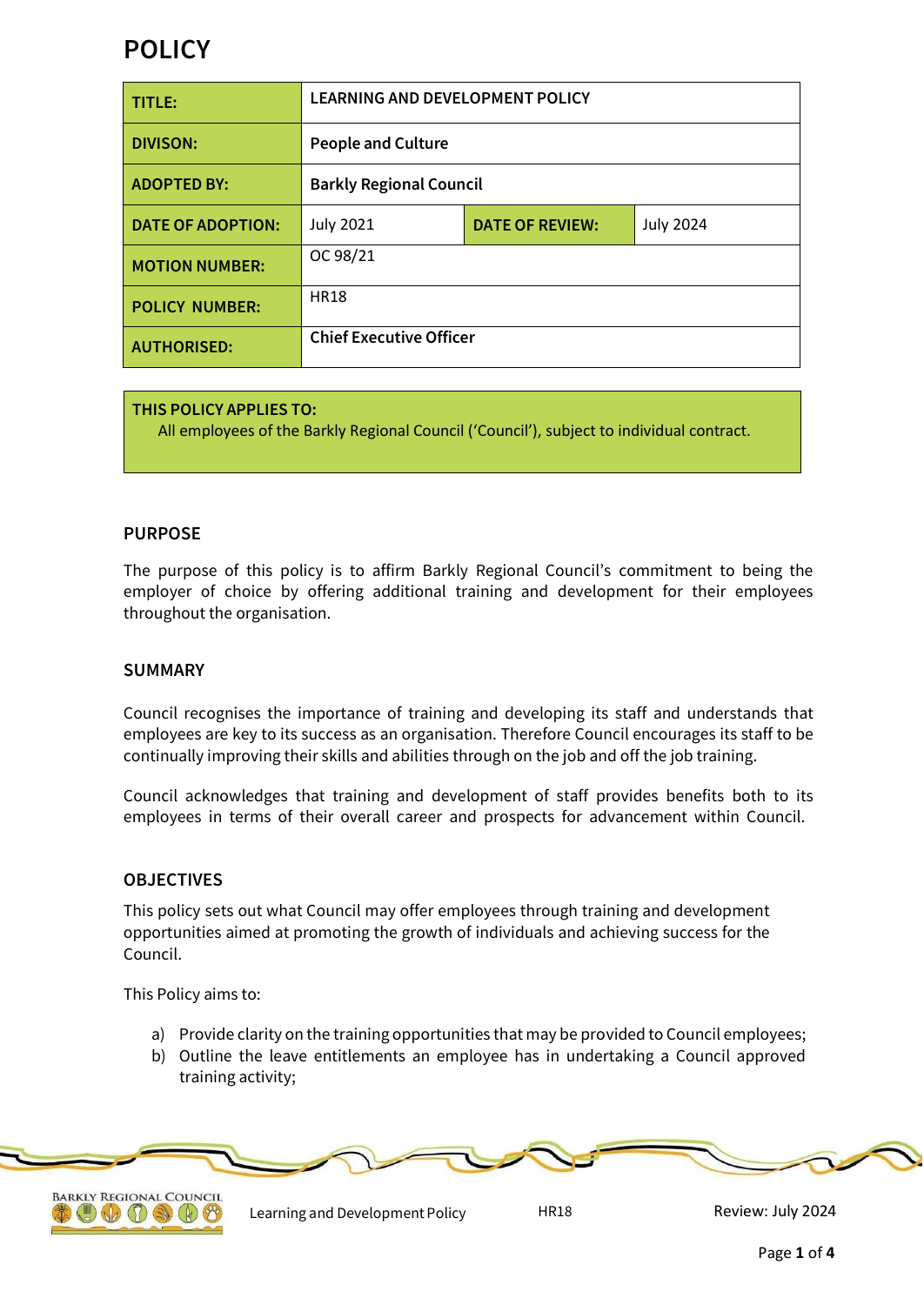# **POLICY**

| TITLE:                   | <b>LEARNING AND DEVELOPMENT POLICY</b> |                        |                  |  |  |
|--------------------------|----------------------------------------|------------------------|------------------|--|--|
| <b>DIVISON:</b>          | <b>People and Culture</b>              |                        |                  |  |  |
| <b>ADOPTED BY:</b>       | <b>Barkly Regional Council</b>         |                        |                  |  |  |
| <b>DATE OF ADOPTION:</b> | <b>July 2021</b>                       | <b>DATE OF REVIEW:</b> | <b>July 2024</b> |  |  |
| <b>MOTION NUMBER:</b>    | OC 98/21                               |                        |                  |  |  |
| <b>POLICY NUMBER:</b>    | <b>HR18</b>                            |                        |                  |  |  |
| <b>AUTHORISED:</b>       | <b>Chief Executive Officer</b>         |                        |                  |  |  |

#### **THIS POLICY APPLIES TO:**

All employees of the Barkly Regional Council ('Council'), subject to individual contract.

## **PURPOSE**

The purpose of this policy is to affirm Barkly Regional Council's commitment to being the employer of choice by offering additional training and development for their employees throughout the organisation.

## **SUMMARY**

Council recognises the importance of training and developing its staff and understands that employees are key to its success as an organisation. Therefore Council encourages its staff to be continually improving their skills and abilities through on the job and off the job training.

Council acknowledges that training and development of staff provides benefits both to its employees in terms of their overall career and prospects for advancement within Council.

## **OBJECTIVES**

This policy sets out what Council may offer employees through training and development opportunities aimed at promoting the growth of individuals and achieving success for the Council.

This Policy aims to:

- a) Provide clarity on the training opportunities that may be provided to Council employees;
- b) Outline the leave entitlements an employee has in undertaking a Council approved training activity;



Learning and Development Policy **HR18** HR18 Review: July 2024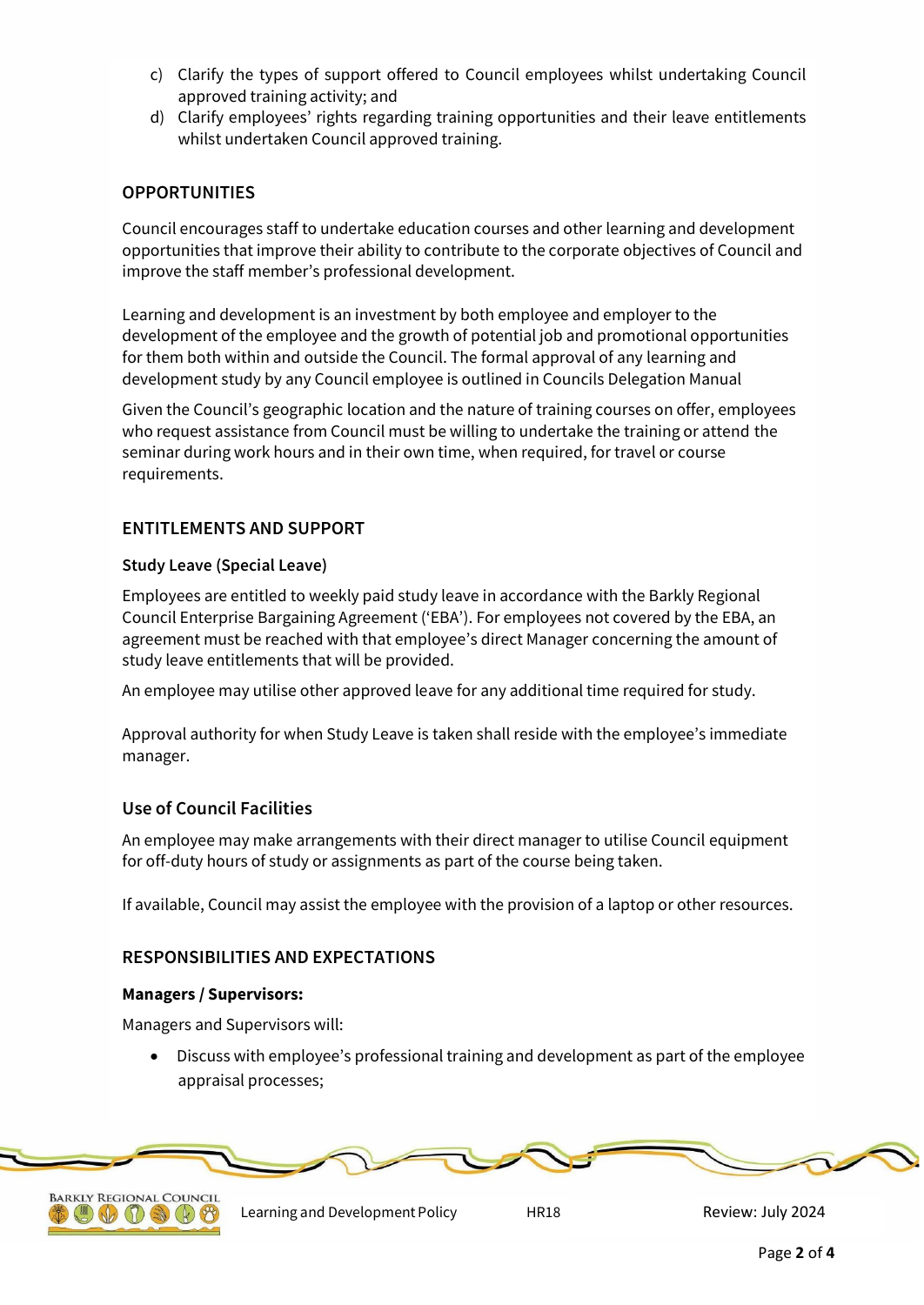- c) Clarify the types of support offered to Council employees whilst undertaking Council approved training activity; and
- d) Clarify employees' rights regarding training opportunities and their leave entitlements whilst undertaken Council approved training.

# **OPPORTUNITIES**

Council encourages staff to undertake education courses and other learning and development opportunities that improve their ability to contribute to the corporate objectives of Council and improve the staff member's professional development.

Learning and development is an investment by both employee and employer to the development of the employee and the growth of potential job and promotional opportunities for them both within and outside the Council. The formal approval of any learning and development study by any Council employee is outlined in Councils Delegation Manual

Given the Council's geographic location and the nature of training courses on offer, employees who request assistance from Council must be willing to undertake the training or attend the seminar during work hours and in their own time, when required, for travel or course requirements.

## **ENTITLEMENTS AND SUPPORT**

#### **Study Leave (Special Leave)**

Employees are entitled to weekly paid study leave in accordance with the Barkly Regional Council Enterprise Bargaining Agreement ('EBA'). For employees not covered by the EBA, an agreement must be reached with that employee's direct Manager concerning the amount of study leave entitlements that will be provided.

An employee may utilise other approved leave for any additional time required for study.

Approval authority for when Study Leave is taken shall reside with the employee's immediate manager.

## **Use of Council Facilities**

An employee may make arrangements with their direct manager to utilise Council equipment for off-duty hours of study or assignments as part of the course being taken.

If available, Council may assist the employee with the provision of a laptop or other resources.

## **RESPONSIBILITIES AND EXPECTATIONS**

#### **Managers / Supervisors:**

Managers and Supervisors will:

 Discuss with employee's professional training and development as part of the employee appraisal processes;

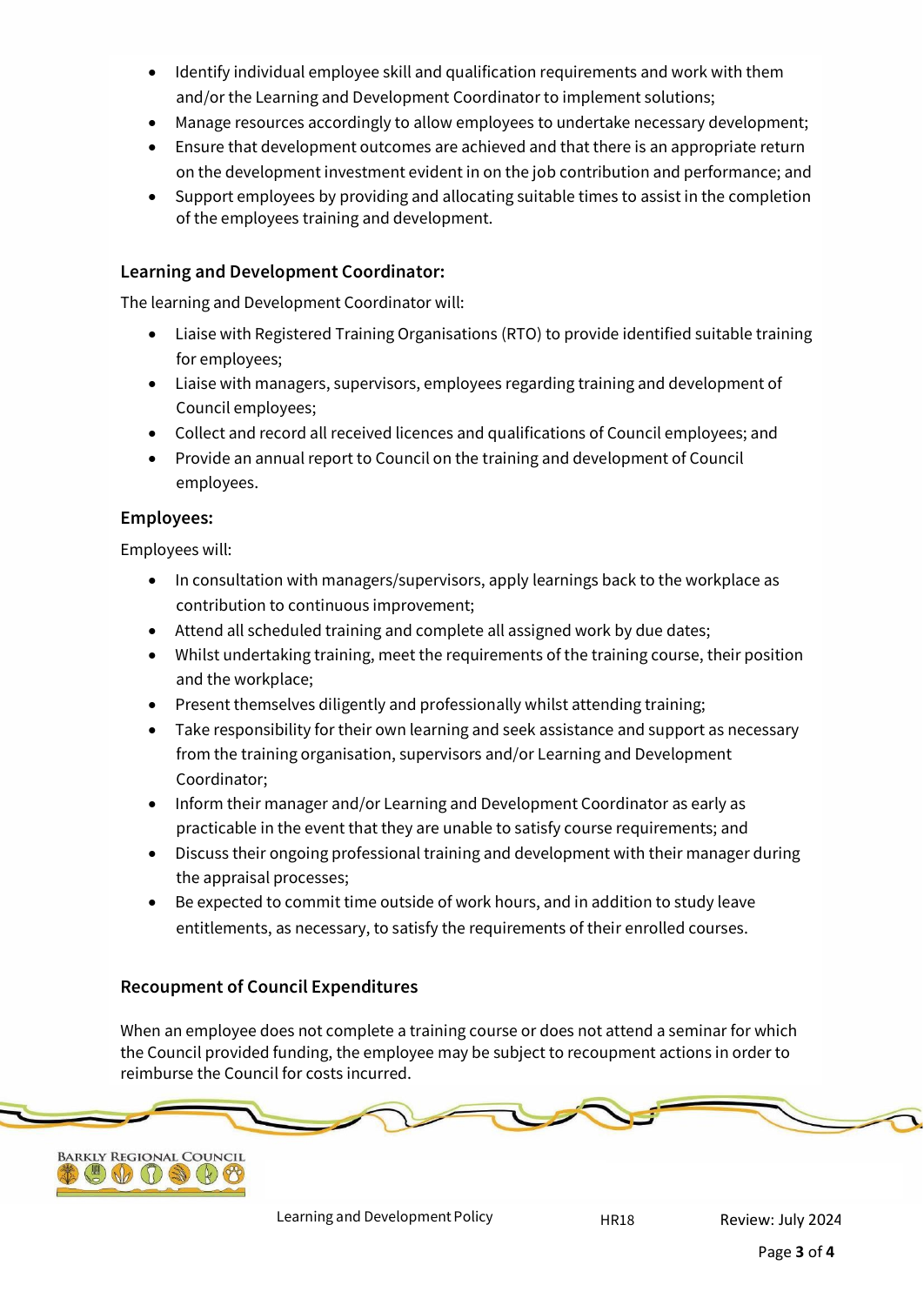- Identify individual employee skill and qualification requirements and work with them and/or the Learning and Development Coordinator to implement solutions;
- Manage resources accordingly to allow employees to undertake necessary development;
- Ensure that development outcomes are achieved and that there is an appropriate return on the development investment evident in on the job contribution and performance; and
- Support employees by providing and allocating suitable times to assist in the completion of the employees training and development.

# **Learning and Development Coordinator:**

The learning and Development Coordinator will:

- Liaise with Registered Training Organisations (RTO) to provide identified suitable training for employees;
- Liaise with managers, supervisors, employees regarding training and development of Council employees;
- Collect and record all received licences and qualifications of Council employees; and
- Provide an annual report to Council on the training and development of Council employees.

# **Employees:**

Employees will:

- In consultation with managers/supervisors, apply learnings back to the workplace as contribution to continuous improvement;
- Attend all scheduled training and complete all assigned work by due dates;
- Whilst undertaking training, meet the requirements of the training course, their position and the workplace;
- Present themselves diligently and professionally whilst attending training;
- Take responsibility for their own learning and seek assistance and support as necessary from the training organisation, supervisors and/or Learning and Development Coordinator;
- Inform their manager and/or Learning and Development Coordinator as early as practicable in the event that they are unable to satisfy course requirements; and
- Discuss their ongoing professional training and development with their manager during the appraisal processes;
- Be expected to commit time outside of work hours, and in addition to study leave entitlements, as necessary, to satisfy the requirements of their enrolled courses.

# **Recoupment of Council Expenditures**

When an employee does not complete a training course or does not attend a seminar for which the Council provided funding, the employee may be subject to recoupment actions in order to reimburse the Council for costs incurred.



Learning and Development Policy **Review: University Price and Policy** Review: July 2024